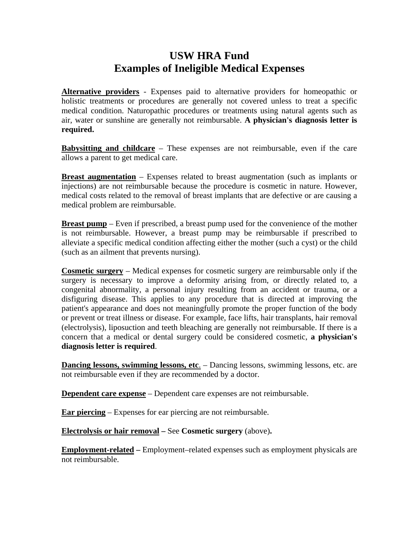## **USW HRA Fund Examples of Ineligible Medical Expenses**

**Alternative providers** - Expenses paid to alternative providers for homeopathic or holistic treatments or procedures are generally not covered unless to treat a specific medical condition. Naturopathic procedures or treatments using natural agents such as air, water or sunshine are generally not reimbursable. **A physician's diagnosis letter is required.** 

**Babysitting and childcare** – These expenses are not reimbursable, even if the care allows a parent to get medical care.

**Breast augmentation** – Expenses related to breast augmentation (such as implants or injections) are not reimbursable because the procedure is cosmetic in nature. However, medical costs related to the removal of breast implants that are defective or are causing a medical problem are reimbursable.

**Breast pump** – Even if prescribed, a breast pump used for the convenience of the mother is not reimbursable. However, a breast pump may be reimbursable if prescribed to alleviate a specific medical condition affecting either the mother (such a cyst) or the child (such as an ailment that prevents nursing).

**Cosmetic surgery** – Medical expenses for cosmetic surgery are reimbursable only if the surgery is necessary to improve a deformity arising from, or directly related to, a congenital abnormality, a personal injury resulting from an accident or trauma, or a disfiguring disease. This applies to any procedure that is directed at improving the patient's appearance and does not meaningfully promote the proper function of the body or prevent or treat illness or disease. For example, face lifts, hair transplants, hair removal (electrolysis), liposuction and teeth bleaching are generally not reimbursable. If there is a concern that a medical or dental surgery could be considered cosmetic, **a physician's diagnosis letter is required**.

**Dancing lessons, swimming lessons, etc.** – Dancing lessons, swimming lessons, etc. are not reimbursable even if they are recommended by a doctor.

**Dependent care expense** – Dependent care expenses are not reimbursable.

**Ear piercing** – Expenses for ear piercing are not reimbursable.

**Electrolysis or hair removal –** See **Cosmetic surgery** (above)**.** 

**Employment-related –** Employment–related expenses such as employment physicals are not reimbursable.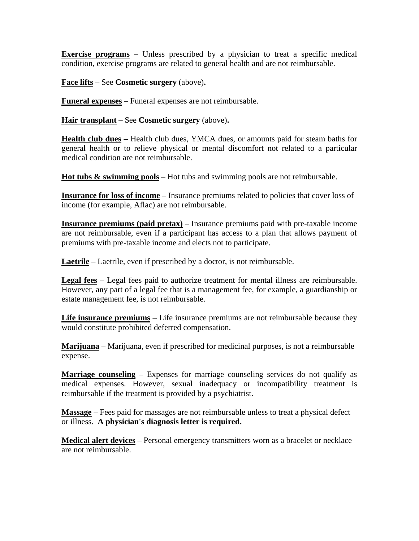**Exercise programs** – Unless prescribed by a physician to treat a specific medical condition, exercise programs are related to general health and are not reimbursable.

**Face lifts** – See **Cosmetic surgery** (above)**.**

**Funeral expenses** – Funeral expenses are not reimbursable.

**Hair transplant** – See **Cosmetic surgery** (above)**.** 

**Health club dues –** Health club dues, YMCA dues, or amounts paid for steam baths for general health or to relieve physical or mental discomfort not related to a particular medical condition are not reimbursable.

**Hot tubs & swimming pools** – Hot tubs and swimming pools are not reimbursable.

**Insurance for loss of income** – Insurance premiums related to policies that cover loss of income (for example, Aflac) are not reimbursable.

**Insurance premiums (paid pretax)** – Insurance premiums paid with pre-taxable income are not reimbursable, even if a participant has access to a plan that allows payment of premiums with pre-taxable income and elects not to participate.

**Laetrile** – Laetrile, even if prescribed by a doctor, is not reimbursable.

**Legal fees** – Legal fees paid to authorize treatment for mental illness are reimbursable. However, any part of a legal fee that is a management fee, for example, a guardianship or estate management fee, is not reimbursable.

**Life insurance premiums** – Life insurance premiums are not reimbursable because they would constitute prohibited deferred compensation.

**Marijuana** – Marijuana, even if prescribed for medicinal purposes, is not a reimbursable expense.

**Marriage counseling** – Expenses for marriage counseling services do not qualify as medical expenses. However, sexual inadequacy or incompatibility treatment is reimbursable if the treatment is provided by a psychiatrist.

**Massage** – Fees paid for massages are not reimbursable unless to treat a physical defect or illness. **A physician's diagnosis letter is required.**

**Medical alert devices** – Personal emergency transmitters worn as a bracelet or necklace are not reimbursable.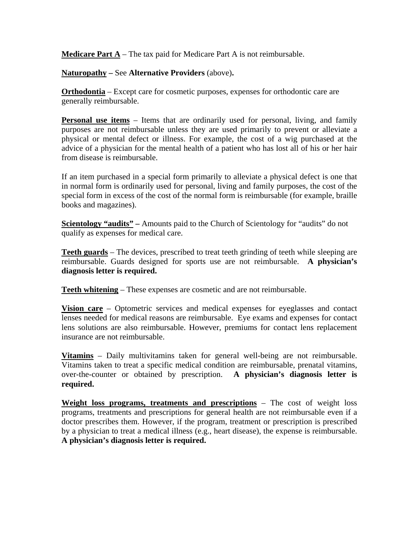**Medicare Part A** – The tax paid for Medicare Part A is not reimbursable.

**Naturopathy –** See **Alternative Providers** (above)**.**

**Orthodontia** – Except care for cosmetic purposes, expenses for orthodontic care are generally reimbursable.

**Personal use items** – Items that are ordinarily used for personal, living, and family purposes are not reimbursable unless they are used primarily to prevent or alleviate a physical or mental defect or illness. For example, the cost of a wig purchased at the advice of a physician for the mental health of a patient who has lost all of his or her hair from disease is reimbursable.

If an item purchased in a special form primarily to alleviate a physical defect is one that in normal form is ordinarily used for personal, living and family purposes, the cost of the special form in excess of the cost of the normal form is reimbursable (for example, [braille](http://www.cigna.com/our_plans/medical/fsa/fsa_health.html#Braillebooksandmagazines#Braillebooksandmagazines)  [books and magazines\)](http://www.cigna.com/our_plans/medical/fsa/fsa_health.html#Braillebooksandmagazines#Braillebooksandmagazines).

**<u>Scientology "audits"</u>** – Amounts paid to the Church of Scientology for "audits" do not qualify as expenses for medical care.

**Teeth guards** – The devices, prescribed to treat teeth grinding of teeth while sleeping are reimbursable. Guards designed for sports use are not reimbursable. **A physician's diagnosis letter is required.** 

**Teeth whitening** – These expenses are cosmetic and are not reimbursable.

**Vision care** – Optometric services and medical expenses for eyeglasses and contact lenses needed for medical reasons are reimbursable. Eye exams and expenses for contact lens solutions are also reimbursable. However, premiums for contact lens replacement insurance are not reimbursable.

**Vitamins** – Daily multivitamins taken for general well-being are not reimbursable. Vitamins taken to treat a specific medical condition are reimbursable, prenatal vitamins, over-the-counter or obtained by prescription. **A physician's diagnosis letter is required.** 

**Weight loss programs, treatments and prescriptions** – The cost of weight loss programs, treatments and prescriptions for general health are not reimbursable even if a doctor prescribes them. However, if the program, treatment or prescription is prescribed by a physician to treat a medical illness (e.g., heart disease), the expense is reimbursable. **A physician's diagnosis letter is required.**